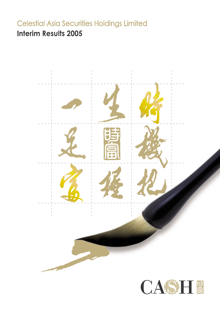# **Celestial Asia Securities Holdings Limited Interim Results 2005**

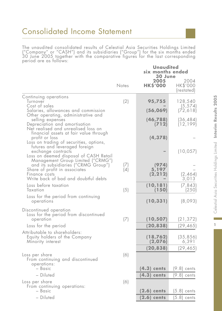The unaudited consolidated results of Celestial Asia Securities Holdings Limited ("Company" or "CASH") and its subsidiaries ("Group") for the six months ended 30 June 2005 together with the comparative figures for the last corresponding period are as follows:

|                                                                                                                                                                    | Notes      | <b>Unaudited</b><br>six months ended<br>30 June<br>2005<br><b>HKS'000</b> | 2004<br>HK\$'000<br>(restated) |
|--------------------------------------------------------------------------------------------------------------------------------------------------------------------|------------|---------------------------------------------------------------------------|--------------------------------|
| Continuing operations<br>Turnover                                                                                                                                  | (2)        | 95,755                                                                    | 128,540                        |
| Cost of sales<br>Salaries, allowances and commission<br>Other operating, administrative and                                                                        |            | (56, 069)                                                                 | (5, 574)<br>(72, 618)          |
| selling expenses<br>Depreciation and amortisation<br>Net realised and unrealised loss on                                                                           |            | (46, 788)<br>(712)                                                        | (36,484)<br>(12, 199)          |
| financial assets at fair value through<br>profit or loss<br>Loss on trading of securities, options,<br>futures and leveraged foreign                               |            | (4, 378)                                                                  |                                |
| exchange contracts<br>Loss on deemed disposal of CASH Retail                                                                                                       |            |                                                                           | (10, 057)                      |
| Management Group Limited ("CRMG")<br>and its subsidiaries ("CRMG Group")<br>Share of profit in associates<br>Finance costs<br>Write back of bad and doubtful debts | (7)<br>(4) | (974)<br>5,197<br>(2, 212)                                                | (2, 464)<br>3,013              |
| Loss before taxation<br>Taxation                                                                                                                                   | (5)        | (10, 181)<br>(150)                                                        | (7, 843)<br>(250)              |
| Loss for the period from continuing<br>operations                                                                                                                  |            | (10, 331)                                                                 | (8,093)                        |
| Discontinued operation<br>Loss for the period from discontinued<br>operation<br>Loss for the period                                                                | (7)        | (10, 507)<br>(20, 838)                                                    | (21, 372)<br>(29, 465)         |
| Attributable to shareholders:<br>Equity holders of the Company<br>Minority interest                                                                                |            | (18, 762)<br>(2,076)                                                      | (35, 856)<br>6,391             |
| Loss per share<br>From continuing and discontinued<br>operations:                                                                                                  | (6)        | (20, 838)                                                                 | (29, 465)                      |
| – Basic                                                                                                                                                            |            | $(4.3)$ cents                                                             | $(9.8)$ cents                  |
| - Diluted                                                                                                                                                          |            | $(4.3)$ cents                                                             | $(9.8)$ cents                  |
| Loss per share<br>From continuing operations:<br>- Basic                                                                                                           | (6)        | $(2.6)$ cents                                                             | $(5.8)$ cents                  |
| - Diluted                                                                                                                                                          |            | $(2.6)$ cents                                                             | $(5.8)$ cents                  |

 $\mathbb T$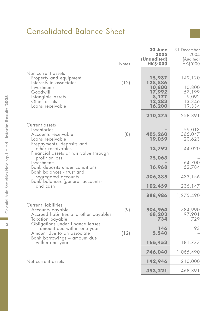# Consolidated Balance Sheet

|                                                                                                                                                             | Notes | 30 June<br>2005<br>(Unaudited)<br><b>HK\$'000</b>                  | 31 December<br>2004<br>(Audited)<br>HK\$'000             |
|-------------------------------------------------------------------------------------------------------------------------------------------------------------|-------|--------------------------------------------------------------------|----------------------------------------------------------|
| Non-current assets<br>Property and equipment<br>Interests in associates<br>Investments<br>Goodwill<br>Intangible assets<br>Other assets<br>Loans receivable | (12)  | 15,937<br>128,886<br>10,800<br>17,992<br>8,177<br>12,283<br>16,200 | 149,120<br>10,800<br>57,199<br>9,092<br>13,346<br>19,334 |
|                                                                                                                                                             |       | 210,275                                                            | 258,891                                                  |
| Current assets<br>Inventories<br>Accounts receivable<br>Loans receivable                                                                                    | (8)   | 405,260<br>19,059                                                  | 59,013<br>365,047<br>20,623                              |
| Prepayments, deposits and<br>other receivables                                                                                                              |       | 13,792                                                             | 44,020                                                   |
| Financial assets at fair value through<br>profit or loss<br>Investments<br>Bank deposits under conditions                                                   |       | 25,063<br>16,968                                                   | 64,700<br>52,784                                         |
| Bank balances - trust and<br>segregated accounts                                                                                                            |       | 306,385                                                            | 433,156                                                  |
| Bank balances (general accounts)<br>and cash                                                                                                                |       | 102,459                                                            | 236,147                                                  |
|                                                                                                                                                             |       | 888,986                                                            | 1,275,490                                                |
| Current liabilities<br>Accounts payable<br>Accrued liabilities and other payables<br>Taxation payable<br>Obligations under finance leases                   | (9)   | 504,964<br>68,203<br>734                                           | 784,990<br>97,901<br>729                                 |
| - amount due within one year<br>Amount due to an associate                                                                                                  | (12)  | 146<br>5,540                                                       | 93                                                       |
| Bank borrowings – amount due<br>within one year                                                                                                             |       | 166,453                                                            | 181,777                                                  |
|                                                                                                                                                             |       | 746,040                                                            | 1,065,490                                                |
| Net current assets                                                                                                                                          |       | 142,946                                                            | 210,000                                                  |
|                                                                                                                                                             |       | 353,221                                                            | 468,891                                                  |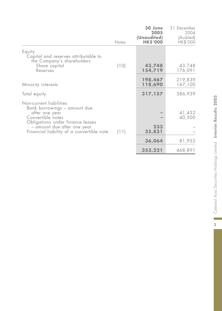| Notes | 30 June<br>2005<br>(Unaudited)<br><b>HK\$'000</b> | 31 December<br>2004<br>(Audited)<br>HK\$'000 |
|-------|---------------------------------------------------|----------------------------------------------|
| (10)  | 43,748<br>154,719                                 | 43,748<br>176,091                            |
|       | 198,467<br>118,690                                | 219,839<br>167,100                           |
|       | 317,157                                           | 386,939                                      |
|       | 233                                               | 41,452<br>40,500                             |
|       |                                                   | 81,952                                       |
|       |                                                   | 468,891                                      |
|       | (11)                                              | 35,831<br>36,064<br>353,221                  |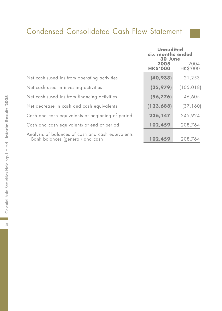# Condensed Consolidated Cash Flow Statement

|                                                                                       | <b>Unaudited</b><br>six months ended<br>30 June<br>2005<br><b>HK\$'000</b> | 2004<br><b>HK\$'000</b> |
|---------------------------------------------------------------------------------------|----------------------------------------------------------------------------|-------------------------|
| Net cash (used in) from operating activities                                          | (40, 933)                                                                  | 21,253                  |
| Net cash used in investing activities                                                 | (35, 979)                                                                  | (105, 018)              |
| Net cash (used in) from financing activities                                          | (56,776)                                                                   | 46,605                  |
| Net decrease in cash and cash equivalents                                             | (133, 688)                                                                 | (37, 160)               |
| Cash and cash equivalents at beginning of period                                      | 236,147                                                                    | 245,924                 |
| Cash and cash equivalents at end of period                                            | 102,459                                                                    | 208,764                 |
| Analysis of balances of cash and cash equivalents<br>Bank balances (general) and cash | 102,459                                                                    | 208,764                 |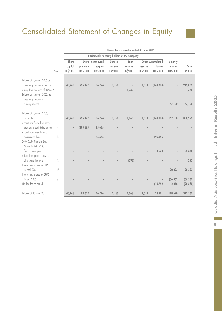# Consolidated Statement of Changes in Equity

|                                                                                                                                                              |                   | Attributable to equity holders of the Company |                 |                   |                 |                 |                              |                              |                 |                  |
|--------------------------------------------------------------------------------------------------------------------------------------------------------------|-------------------|-----------------------------------------------|-----------------|-------------------|-----------------|-----------------|------------------------------|------------------------------|-----------------|------------------|
|                                                                                                                                                              |                   | Share                                         |                 | Share Contributed | General         | Loan            |                              | Other Accumulated            | Minority        |                  |
|                                                                                                                                                              |                   | capital                                       | premium         | surplus           | reserve         | reserve         | reserve                      | losses                       | interest        | Total            |
|                                                                                                                                                              | Notes             | <b>HK\$'000</b>                               | <b>HK\$'000</b> | <b>HK\$'000</b>   | <b>HK\$'000</b> | <b>HK\$'000</b> | <b>HK\$'000</b>              | <b>HK\$'000</b>              | <b>HK\$'000</b> | <b>HK\$'000</b>  |
| Balance at 1 January 2005 as<br>previously reported as equity<br>Arising from adoption of HKAS 32<br>Balance at 1 January 2005, as<br>previously reported as |                   | 43,748                                        | 295,177         | 16,724            | 1,160           | 1,360           | 12,314                       | (149, 284)                   |                 | 219,839<br>1,360 |
| minority interest                                                                                                                                            |                   |                                               |                 |                   |                 |                 |                              |                              | 167,100         | 167,100          |
| Balance at 1 January 2005,<br>as restated<br>Amount transferred from share                                                                                   |                   | 43,748                                        | 295,177         | 16,724            | 1,160           | 1,360           | 12,314                       | (149, 284)                   | 167,100         | 388,299          |
| premium to contributed surplus                                                                                                                               | $\lceil a \rceil$ | -                                             | (195, 665)      | 195,665           |                 |                 |                              |                              |                 |                  |
| Amount transferred to set off<br>accumulated losses<br>2004 CASH Financial Services<br>Group Limited ("CFSG")                                                | $\mathsf{b}$      |                                               |                 | (195, 665)        |                 |                 |                              | 195,665                      |                 |                  |
| final dividend paid                                                                                                                                          |                   |                                               |                 |                   |                 |                 |                              | (3,678)                      |                 | (3,678)          |
| Arising from partial repayment<br>of a convertible note<br>Issue of new shares by CRMG                                                                       | c                 |                                               |                 |                   |                 | (292)           |                              |                              |                 | (292)            |
| in April 2005                                                                                                                                                | (f)               |                                               |                 |                   |                 |                 |                              |                              | 20,223          | 20,223           |
| Issue of new shares by CRMG                                                                                                                                  |                   |                                               |                 |                   |                 |                 |                              |                              |                 |                  |
| in May 2005                                                                                                                                                  | (g)               |                                               |                 |                   |                 |                 |                              | $\qquad \qquad \blacksquare$ | (66, 557)       | (66, 557)        |
| Net loss for the period                                                                                                                                      |                   |                                               |                 |                   |                 |                 | $\qquad \qquad \blacksquare$ | (18, 762)                    | (2,076)         | (20, 838)        |
| Balance at 30 June 2005                                                                                                                                      |                   | 43,748                                        | 99,512          | 16,724            | 1,160           | 1,068           | 12,314                       | 23,941                       | 118,690         | 317,157          |

**Unaudited six months ended 30 June 2005**

 $\overline{5}$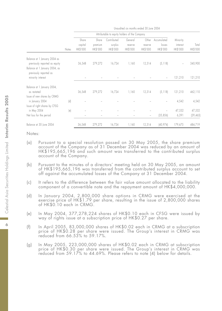|                                                                                                                          |       |                              |                              |                                               | Unaudited six months ended 30 June 2004 |                              |                                   |                                  |                   |
|--------------------------------------------------------------------------------------------------------------------------|-------|------------------------------|------------------------------|-----------------------------------------------|-----------------------------------------|------------------------------|-----------------------------------|----------------------------------|-------------------|
|                                                                                                                          |       |                              |                              | Attributable to equity holders of the Company |                                         |                              |                                   |                                  |                   |
|                                                                                                                          | Notes | Share<br>capital<br>HK\$'000 | Share<br>premium<br>HK\$'000 | Contributed<br>surplus<br>HK\$'000            | General<br>reserve<br>HK\$'000          | Other<br>reserve<br>HK\$'000 | Accumulated<br>losses<br>HK\$'000 | Minority<br>interest<br>HK\$'000 | Total<br>HK\$'000 |
| Balance at 1 January 2004 as<br>previously reported as equity<br>Balance at 1 January 2004, as<br>previously reported as |       | 36,548                       | 279,272                      | 16,724                                        | 1,160                                   | 12,314                       | (5, 118)                          |                                  | 340,900           |
| minority interest                                                                                                        |       |                              |                              |                                               |                                         |                              | $\overline{\phantom{0}}$          | 121,210                          | 121,210           |
| Balance at 1 January 2004,                                                                                               |       |                              |                              |                                               |                                         |                              |                                   |                                  |                   |
| as restated<br>Issue of new shares by CRMG                                                                               |       | 36,548                       | 279,272                      | 16,724                                        | 1,160                                   | 12,314                       | (5, 118)                          | 121,210                          | 462,110           |
| in January 2004<br>Issue of right shares by CFSG                                                                         | (d)   |                              |                              |                                               |                                         |                              |                                   | 4,542                            | 4,542             |
| in May 2004                                                                                                              | (e)   |                              |                              |                                               |                                         |                              |                                   | 47,532                           | 47,532            |
| Net loss for the period                                                                                                  |       |                              |                              |                                               |                                         | $\overline{\phantom{a}}$     | (35, 856)                         | 6,391                            | [29, 465]         |
| Balance at 30 June 2004                                                                                                  |       | 36,548                       | 279,272                      | 16,724                                        | 1,160                                   | 12,314                       | (40, 974)                         | 179,675                          | 484,719           |

- (a) Pursuant to a special resolution passed on 30 May 2005, the share premium account of the Company as of 31 December 2004 was reduced by an amount of HK\$195,665,196 and such amount was transferred to the contributed surplus account of the Company.
- (b) Pursuant to the minutes of a directors' meeting held on 30 May 2005, an amount of HK\$195,665,196 was transferred from the contributed surplus account to set off against the accumulated losses of the Company at 31 December 2004.
- (c) It refers to the difference between the fair value amount allocated to the liability component of a convertible note and the repayment amount of HK\$4,000,000.
- (d) In January 2004, 2,800,000 share options in CRMG were exercised at the exercise price of HK\$1.79 per share, resulting in the issue of 2,800,000 shares of HK\$0.10 each in CRMG.
- (e) In May 2004, 377,278,224 shares of HK\$0.10 each in CFSG were issued by way of rights issue at a subscription price of HK\$0.27 per share.
- (f) In April 2005, 83,000,000 shares of HK\$0.02 each in CRMG at a subscription price of HK\$0.28 per share were issued. The Group's interest in CRMG was reduced from 66.53% to 59.17%.
- (g) In May 2005, 223,000,000 shares of HK\$0.02 each in CRMG at subscription price of HK\$0.30 per share were issued. The Group's interest in CRMG was reduced from 59.17% to 44.69%. Please refers to note (4) below for details.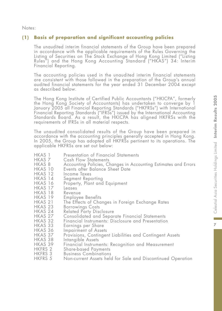Notes:

# **(1) Basis of preparation and significant accounting policies**

The unaudited interim financial statements of the Group have been prepared in accordance with the applicable requirements of the Rules Governing the Listing of Securities on The Stock Exchange of Hong Kong Limited ("Listing Rules") and the Hong Kong Accounting Standard ("HKAS") 34: Interim Financial Reporting.

The accounting policies used in the unaudited interim financial statements are consistent with those followed in the preparation of the Group's annual audited financial statements for the year ended 31 December 2004 except as described below.

The Hong Kong Institute of Certified Public Accountants ("HKICPA", formerly the Hong Kong Society of Accountants) has undertaken to converge by 1 January 2005 all Financial Reporting Standards ("HKFRSs") with International Financial Reporting Standards ("IFRSs") issued by the International Accounting Standards Board. As a result, the HKICPA has aligned HKFRSs with the requirements of IFRSs in all material respects.

The unaudited consolidated results of the Group have been prepared in accordance with the accounting principles generally accepted in Hong Kong. In 2005, the Group has adopted all HKFRSs pertinent to its operations. The applicable HKFRSs are set out below:

- HKAS 1 Presentation of Financial Statements<br>HKAS 7 Cash Flow Statements
- HKAS 7 Cash Flow Statements<br>HKAS 8 Accounting Policies, Cl
- HKAS 8 Accounting Policies, Changes in Accounting Estimates and Errors
- HKAS 10 Events after Balance Sheet Date
- HKAS 12 Income Taxes<br>HKAS 14 Segment Repo
- HKAS 14 Segment Reporting
- Property, Plant and Equipment<br>Leases
- HKAS 17 Leases
- HKAS 18<br>HKAS 19
- HKAS 19 Employee Benefits
- HKAS 21 The Effects of Changes in Foreign Exchange Rates
- 
- HKAS 23 Borrowings Costs<br>HKAS 24 Related Party Disc HKAS 24 Related Party Disclosure
- HKAS 27 Consolidated and Separate Financial Statements
- HKAS 32 Financial Instruments: Disclosure and Presentation
- HKAS 33 Earnings per Share
- HKAS 36 Impairment of Assets
- HKAS 37 Provisions, Contingent Liabilities and Contingent Assets
- HKAS 38 Intangible Assets
- HKAS 39 Financial Instruments: Recognition and Measurement
- HKFRS 2 Share-based Payments
- HKFRS 3 Business Combinations
- Non-current Assets held for Sale and Discontinued Operation

 $\overline{z}$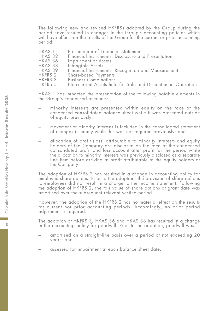The following new and revised HKFRSs adopted by the Group during the period have resulted in changes in the Group's accounting policies which will have effects on the results of the Group for the current or prior accounting period:

- HKAS 1 Presentation of Financial Statements<br>HKAS 32 Financial Instruments: Disclosure and
- HKAS 32 Financial Instruments: Disclosure and Presentation
- HKAS 36 Impairment of Assets<br>HKAS 38 Intangible Assets
- HKAS 38 Intangible Assets<br>HKAS 39 Financial Instrume
- HKAS 39 Financial Instruments: Recognition and Measurement
- HKFRS 2 Share-based Payments
- HKFRS 3 Business Combinations<br>HKFRS 5 Non-current Assets held
- Non-current Assets held for Sale and Discontinued Operation

HKAS 1 has impacted the presentation of the following notable elements in the Group's condensed accounts:

- minority interests are presented within equity on the face of the condensed consolidated balance sheet while it was presented outside of equity previously;
- movement of minority interests is included in the consolidated statement of changes in equity while this was not required previously; and
- allocation of profit (loss) attributable to minority interests and equity holders of the Company are disclosed on the face of the condensed consolidated profit and loss account after profit for the period while the allocation to minority interests was previously disclosed as a separate line item before arriving at profit attributable to the equity holders of the Company.

The adoption of HKFRS 2 has resulted in a change in accounting policy for employee share options. Prior to the adoption, the provision of share options to employees did not result in a charge to the income statement. Following the adoption of HKFRS 2, the fair value of share options at grant date was amortised over the subsequent relevant vesting period.

However, the adoption of the HKFRS 2 has no material effect on the results for current nor prior accounting periods. Accordingly, no prior period adjustment is required.

The adoption of HKFRS 3, HKAS 36 and HKAS 38 has resulted in a change in the accounting policy for goodwill. Prior to the adoption, goodwill was:

- amortised on a straight-line basis over a period of not exceeding 20 years; and
- assessed for impairment at each balance sheet date.

 $\mathbf{R}$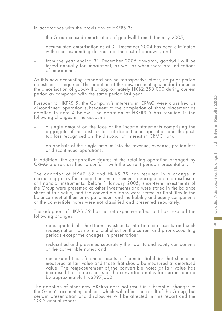In accordance with the provisions of HKFRS 3:

- the Group ceased amortisation of goodwill from 1 January 2005;
- accumulated amortisation as at 31 December 2004 has been eliminated with a corresponding decrease in the cost of goodwill; and
- from the year ending 31 December 2005 onwards, goodwill will be tested annually for impairment, as well as when there are indications of impairment.

As this new accounting standard has no retrospective effect, no prior period adjustment is required. The adoption of this new accounting standard reduced the amortisation of goodwill of approximately HK\$2,258,000 during current period as compared with the same period last year.

Pursuant to HKFRS 5, the Company's interests in CRMG were classified as discontinued operation subsequent to the completion of share placement as detailed in note 4 below. The adoption of HKFRS 5 has resulted in the following changes in the accounts:

- a single amount on the face of the income statements comprising the aggregate of the post-tax loss of discontinued operation and the posttax loss recognised on the disposal of interest in CRMG; and
- an analysis of the single amount into the revenue, expense, pre-tax loss of discontinued operations.

In addition, the comparative figures of the retailing operation engaged by CRMG are re-classified to conform with the current period's presentation.

The adoption of HKAS 32 and HKAS 39 has resulted in a change in accounting policy for recognition, measurement, derecognition and disclosure of financial instruments. Before 1 January 2005, short-term investments of the Group were presented as other investments and were stated in the balance sheet at fair value, and the convertible loans were stated as liabilities in the balance sheet at their principal amount and the liability and equity components of the convertible notes were not classified and presented separately.

The adoption of HKAS 39 has no retrospective effect but has resulted the following changes:

- redesignated all short-term investments into financial assets and such redesignation has no financial effect on the current and prior accounting periods except the changes in presentation;
- reclassified and presented separately the liability and equity components of the convertible notes; and
- remeasured those financial assets or financial liabilities that should be measured at fair value and those that should be measured at amortised value. The remeasurement of the convertible notes at fair value has increased the finance costs of the convertible notes for current period by approximately HK\$397,000.

The adoption of other new HKFRSs does not result in substantial changes to the Group's accounting policies which will affect the result of the Group, but certain presentation and disclosures will be affected in this report and the 2005 annual report.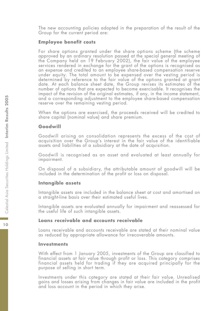The new accounting policies adopted in the preparation of the result of the Group for the current period are:

#### **Employee benefit costs**

For share options granted under the share options scheme (the scheme approved by an ordinary resolution passed at the special general meeting of the Company held on 19 February 2002), the fair value of the employee services rendered in exchange for the grant of the options is recognised as an expense and credited to an employee share-based compensation reserve under equity. The total amount to be expensed over the vesting period is determined by reference to the fair value of the options granted at grant date. At each balance sheet date, the Group revises its estimates of the number of options that are expected to become exercisable. It recognises the impact of the revision of the original estimates, if any, in the income statement, and a corresponding adjustment to the employee share-based compensation reserve over the remaining vesting period.

When the options are exercised, the proceeds received will be credited to share capital (nominal value) and share premium.

### **Goodwill**

Goodwill arising on consolidation represents the excess of the cost of acquisition over the Group's interest in the fair value of the identifiable assets and liabilities of a subsidiary at the date of acquisition.

Goodwill is recognised as an asset and evaluated at least annually for impairment.

On disposal of a subsidiary, the attributable amount of goodwill will be included in the determination of the profit or loss on disposal.

#### **Intangible assets**

Intangible assets are included in the balance sheet at cost and amortised on a straight-line basis over their estimated useful lives.

Intangible assets are evaluated annually for impairment and reassessed for the useful life of such intangible assets.

#### **Loans receivable and accounts receivable**

Loans receivable and accounts receivable are stated at their nominal value as reduced by appropriate allowance for irrecoverable amounts.

#### **Investments**

With effect from 1 January 2005, investments of the Group are classified to financial assets at fair value through profit or loss. This category comprises financial assets held for trading if they are acquired principally for the purpose of selling in short term.

Investments under this category are stated at their fair value. Unrealised gains and losses arising from changes in fair value are included in the profit and loss account in the period in which they arise.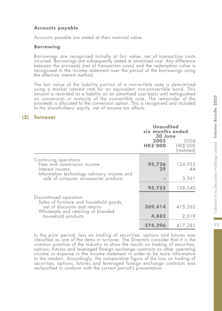# **Accounts payable**

Accounts payable are stated at their nominal value.

# **Borrowing**

Borrowings are recognised initially at fair value, net of transaction costs incurred. Borrowings are subsequently stated at amortised cost. Any difference between the proceeds (net of transaction costs) and the redemption value is recognised in the income statement over the period of the borrowings using the effective interest method.

The fair value of the liability portion of a convertible note is determined using a market interest rate for an equivalent non-convertible bond. This amount is recorded as a liability on an amortised cost basis until extinguished on conversion or maturity of the convertible note. The remainder of the proceeds is allocated to the conversion option. This is recognised and included in the shareholders' equity, net of income tax effects.

# **(2) Turnover**

|                                                                                     | <b>Unaudited</b><br>six months ended<br>30 June |                                |  |
|-------------------------------------------------------------------------------------|-------------------------------------------------|--------------------------------|--|
|                                                                                     | 2005<br><b>HK\$'000</b>                         | 2004<br>HK\$'000<br>(restated) |  |
| Continuing operations<br>Fees and commission income<br>Interest income              | 95,726<br>29                                    | 124,935<br>44                  |  |
| Information technology advisory income and<br>sale of computer accessories products |                                                 | 3,561                          |  |
|                                                                                     | 95,755                                          | 128,540                        |  |
| Discontinued operation<br>Sales of furniture and household goods,                   |                                                 |                                |  |
| net of discounts and returns                                                        | 369,414                                         | 415,262                        |  |
| Wholesale and retailing of branded<br>household products                            | 4,882                                           | 2,019                          |  |
|                                                                                     | 374,296                                         | 417,281                        |  |

In the prior period, loss on trading of securities, options and futures was classified as one of the items in turnover. The Directors consider that it is the common practice of the industry to show the results on trading of securities, options, futures and leveraged foreign exchange contracts as other operating income or expense in the income statement in order to be more informative to the readers. Accordingly, the comparative figure of the loss on trading of securities, options, futures and leveraged foreign exchange contracts was reclassified to conform with the current period's presentation.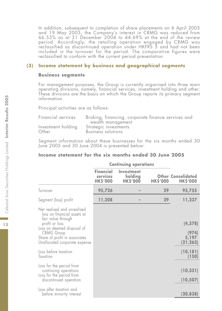In addition, subsequent to completion of share placements on 6 April 2005 and 19 May 2005, the Company's interest in CRMG was reduced from 66.53% as at 31 December 2004 to 44.69% at the end of the review period. Accordingly, the retailing operation engaged by CRMG was reclassified as discontinued operation under HKFRS 5 and had not been included in the turnover for the period. The comparative figures were reclassified to conform with the current period presentation.

### **(3) Income statement by business and geographical segments**

#### **Business segments**

For management purposes, the Group is currently organised into three main operating divisions, namely, financial services, investment holding and other. These divisions are the basis on which the Group reports its primary segment information.

Principal activities are as follows:

| Financial services | Broking, financing, corporate finance services and |  |  |
|--------------------|----------------------------------------------------|--|--|
|                    | wealth management                                  |  |  |
| Investment holding | Strategic investments                              |  |  |
| Other              | Business solutions                                 |  |  |

Segment information about these businesses for the six months ended 30 June 2005 and 30 June 2004 is presented below:

#### **Income statement for the six months ended 30 June 2005**

|                                                                                                                                                                                        | <b>Continuing operations</b>                    |                                          |                 |                                              |
|----------------------------------------------------------------------------------------------------------------------------------------------------------------------------------------|-------------------------------------------------|------------------------------------------|-----------------|----------------------------------------------|
|                                                                                                                                                                                        | <b>Financial</b><br>services<br><b>HK\$'000</b> | Investment<br>holding<br><b>HK\$'000</b> | <b>HK\$'000</b> | <b>Other Consolidated</b><br><b>HK\$'000</b> |
| Turnover                                                                                                                                                                               | 95,726                                          |                                          | 29              | 95,755                                       |
| Segment (loss) profit                                                                                                                                                                  | 11,208                                          |                                          | 29              | 11,237                                       |
| Net realised and unrealised<br>loss on financial assets at<br>fair value through<br>profit or loss<br>Loss on deemed disposal of<br><b>CRMG Group</b><br>Share of profit in associates |                                                 |                                          |                 | (4, 378)<br>(974)<br>5,197                   |
| Unallocated corporate expense                                                                                                                                                          |                                                 |                                          |                 | (21, 263)                                    |
| Loss before taxation<br>Taxation                                                                                                                                                       |                                                 |                                          |                 | (10, 181)<br>(150)                           |
| Loss for the period from<br>continuing operations<br>Loss for the period from<br>discontinued operation                                                                                |                                                 |                                          |                 | (10, 331)<br>(10, 507)                       |
| Loss after taxation and<br>before minority interest                                                                                                                                    |                                                 |                                          |                 | (20, 838)                                    |

 $12$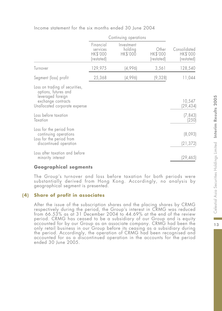|                                                                                                                                    | Continuing operations                           |                                   |                                 |                                        |  |
|------------------------------------------------------------------------------------------------------------------------------------|-------------------------------------------------|-----------------------------------|---------------------------------|----------------------------------------|--|
|                                                                                                                                    | Financial<br>services<br>HK\$'000<br>(restated) | Investment<br>holding<br>HK\$'000 | Other<br>HK\$'000<br>(restated) | Consolidated<br>HK\$'000<br>(restated) |  |
| Turnover                                                                                                                           | 129,975                                         | (4,996)                           | 3,561                           | 128,540                                |  |
| Segment (loss) profit                                                                                                              | 25,368                                          | (4,996)                           | (9,328)                         | 11,044                                 |  |
| Loss on trading of securities,<br>options, futures and<br>leveraged foreign<br>exchange contracts<br>Unallocated corporate expense |                                                 |                                   |                                 | 10,547<br>(29,434)                     |  |
| Loss before taxation<br>Taxation                                                                                                   |                                                 |                                   |                                 | (7, 843)<br>(250)                      |  |
| Loss for the period from<br>continuing operations<br>Loss for the period from<br>discontinued operation                            |                                                 |                                   |                                 | (8,093)<br>(21, 372)                   |  |
| Loss after taxation and before<br>minority interest                                                                                |                                                 |                                   |                                 | (29, 465)                              |  |

Income statement for the six months ended 30 June 2004

#### **Geographical segments**

The Group's turnover and loss before taxation for both periods were substantially derived from Hong Kong. Accordingly, no analysis by geographical segment is presented.

# **(4) Share of profit in associates**

After the issue of the subscription shares and the placing shares by CRMG respectively during the period, the Group's interest in CRMG was reduced from 66.53% as at 31 December 2004 to 44.69% at the end of the review period. CRMG has ceased to be a subsidiary of our Group and is equity accounted for by our Group as an associate company. CRMG had been the only retail business in our Group before its ceasing as a subsidiary during the period. Accordingly, the operation of CRMG had been recognised and accounted for as a discontinued operation in the accounts for the period ended 30 June 2005.

m.  $13$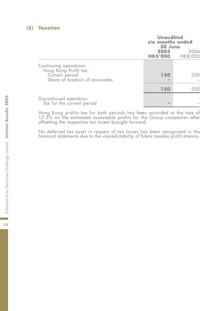# **(5) Taxation**

|                                                                                                      | <b>Unaudited</b><br>six months ended<br>30 June |                           |
|------------------------------------------------------------------------------------------------------|-------------------------------------------------|---------------------------|
|                                                                                                      | 2005                                            | 2004<br>HK\$'000 HK\$'000 |
| Continuing operations:<br>Hong Kong Profit tax:<br>Current period<br>Share of taxation of associates | 150                                             | 250                       |
|                                                                                                      | 150                                             | 250                       |
| Discontinued operation:<br>Tax for the current period                                                |                                                 |                           |

Hong Kong profits tax for both periods has been provided at the rate of 17.5% on the estimated assessable profits for the Group companies after offsetting the respective tax losses brought forward.

No deferred tax asset in respect of tax losses has been recognised in the financial statements due to the unpredictability of future taxable profit streams.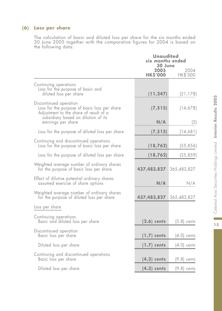# **(6) Loss per share**

The calculation of basic and diluted loss per share for the six months ended 30 June 2005 together with the comparative figures for 2004 is based on the following data:

|                                                                                                                                                                               | <b>Unaudited</b><br>six months ended<br>30 June |                  |  |  |
|-------------------------------------------------------------------------------------------------------------------------------------------------------------------------------|-------------------------------------------------|------------------|--|--|
|                                                                                                                                                                               | 2005<br><b>HK\$'000</b>                         | 2004<br>HK\$'000 |  |  |
| Continuing operations<br>Loss for the purpose of basic and<br>diluted loss per share                                                                                          | (11, 247)                                       | (21, 178)        |  |  |
| Discontinued operation<br>Loss for the purpose of basic loss per share<br>Adjustment to the share of result of a<br>subsidiary based on dilution of its<br>earnings per share | (7, 515)<br>N/A                                 | (14,678)<br>(3)  |  |  |
| Loss for the purpose of diluted loss per share                                                                                                                                | (7, 515)                                        | (14,681)         |  |  |
| Continuing and discontinued operations<br>Loss for the purpose of basic loss per share                                                                                        | (18, 762)                                       | (35, 856)        |  |  |
| Loss for the purpose of diluted loss per share                                                                                                                                | (18, 762)                                       | (35, 859)        |  |  |
| Weighted average number of ordinary shares<br>for the purpose of basic loss per share                                                                                         | 437,483,827                                     | 365,483,827      |  |  |
| Effect of dilutive potential ordinary shares<br>assumed exercise of share options                                                                                             | N/A                                             | N/A              |  |  |
| Weighted average number of ordinary shares<br>for the purpose of diluted loss per share                                                                                       | 437,483,827                                     | 365,483,827      |  |  |
| Loss per share                                                                                                                                                                |                                                 |                  |  |  |
| Continuing operations<br>Basic and diluted loss per share                                                                                                                     | $(2.6)$ cents                                   | $(5.8)$ cents    |  |  |
| Discontinued operation<br>Basic loss per share                                                                                                                                | $(1.7)$ cents                                   | $(4.0)$ cents    |  |  |
| Diluted loss per share                                                                                                                                                        | $(1.7)$ cents                                   | $(4.0)$ cents    |  |  |
| Continuing and discontinued operations<br>Basic loss per share                                                                                                                | $(4.3)$ cents                                   | $(9.8)$ cents    |  |  |
| Diluted loss per share                                                                                                                                                        | $(4.3)$ cents                                   | $(9.8)$ cents    |  |  |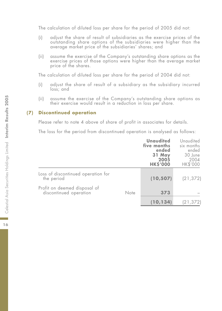The calculation of diluted loss per share for the period of 2005 did not:

- (i) adjust the share of result of subsidiaries as the exercise prices of the outstanding share options of the subsidiaries were higher than the average market price of the subsidiaries' shares; and
- (ii) assume the exercise of the Company's outstanding share options as the exercise prices of those options were higher than the average market price of the shares.

The calculation of diluted loss per share for the period of 2004 did not:

- (i) adjust the share of result of a subsidiary as the subsidiary incurred loss; and
- (ii) assume the exercise of the Company's outstanding share options as their exercise would result in a reduction in loss per share.

# **(7) Discontinued operation**

Please refer to note 4 above of share of profit in associates for details.

The loss for the period from discontinued operation is analysed as follows:

|                                                        |      | <b>Unaudited</b><br>five months<br>ended<br>31 May<br>2005<br><b>HK\$'000</b> | Unaudited<br>six months<br>ended<br>30 June<br>2004<br>HK\$'000 |
|--------------------------------------------------------|------|-------------------------------------------------------------------------------|-----------------------------------------------------------------|
| Loss of discontinued operation for<br>the period       |      | (10, 507)                                                                     | (21, 372)                                                       |
| Profit on deemed disposal of<br>discontinued operation | Note | 373                                                                           |                                                                 |
|                                                        |      | (10, 134)                                                                     | (21,372)                                                        |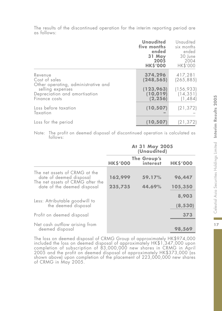|                                                                    | <b>Unaudited</b><br>five months<br>ended<br>31 May<br>2005<br><b>HK\$'000</b> | Unaudited<br>six months<br>ended<br>30 June<br>2004<br>HK\$'000 |
|--------------------------------------------------------------------|-------------------------------------------------------------------------------|-----------------------------------------------------------------|
| Revenue<br>Cost of sales<br>Other operating, administrative and    | 374,296<br>(248, 565)                                                         | 417,281<br>(265, 885)                                           |
| selling expenses<br>Depreciation and amortisation<br>Finance costs | (123, 963)<br>(10, 019)<br>(2, 256)                                           | (156, 933)<br>(14, 351)<br>(1, 484)                             |
| Loss before taxation<br>Taxation                                   | (10, 507)                                                                     | (21, 372)                                                       |
| Loss for the period                                                | (10, 507)                                                                     | (21, 372)                                                       |

The results of the discontinued operation for the interim reporting period are as follows:

Note: The profit on deemed disposal of discontinued operation is calculated as follows:

|                                                                                              | At 31 May 2005<br>(Unaudited) |                         |                   |
|----------------------------------------------------------------------------------------------|-------------------------------|-------------------------|-------------------|
|                                                                                              | <b>HK\$'000</b>               | The Group's<br>interest | <b>HK\$'000</b>   |
| The net assets of CRMG at the<br>date of deemed disposal<br>The net assets of CRMG after the | 162,999                       | 59.17%                  | 96,447            |
| date of the deemed disposal                                                                  | 235,735                       | 44.69%                  | 105,350           |
| Less: Attributable goodwill to<br>the deemed disposal                                        |                               |                         | 8,903<br>(8, 530) |
| Profit on deemed disposal                                                                    |                               |                         | 373               |
| Net cash outflow arising from<br>deemed disposal                                             |                               |                         | 98,569            |

The loss on deemed disposal of CRMG Group of approximately HK\$974,000 included the loss on deemed disposal of approximately HK\$1,347,000 upon completion of subscription of 83,000,000 new shares in CRMG in April 2005 and the profit on deemed disposal of approximately HK\$373,000 (as shown above) upon completion of the placement of 223,000,000 new shares of CRMG in May 2005.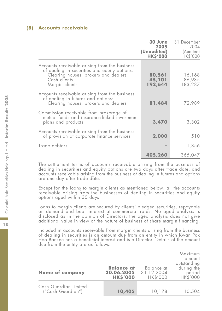#### **(8) Accounts receivable**

|                                                                                                                                                                         | 30 June<br>2005<br>(Unaudited)<br><b>HK\$'000</b> | 31 December<br>2004<br>(Audited)<br>HK\$'000 |
|-------------------------------------------------------------------------------------------------------------------------------------------------------------------------|---------------------------------------------------|----------------------------------------------|
| Accounts receivable arising from the business<br>of dealing in securities and equity options:<br>Clearing houses, brokers and dealers<br>Cash clients<br>Margin clients | 80,561<br>45,101<br>192,644                       | 16,168<br>86,935<br>183,287                  |
| Accounts receivable arising from the business<br>of dealing in futures and options:<br>Clearing houses, brokers and dealers                                             | 81,484                                            | 72,989                                       |
| Commission receivable from brokerage of<br>mutual funds and insurance-linked investment<br>plans and products                                                           | 3,470                                             | 3,302                                        |
| Accounts receivable arising from the business<br>of provision of corporate finance services                                                                             | 2,000                                             | 510                                          |
| Trade debtors                                                                                                                                                           |                                                   | 1,856                                        |
|                                                                                                                                                                         | 405,260                                           | 365,047                                      |

The settlement terms of accounts receivable arising from the business of dealing in securities and equity options are two days after trade date, and accounts receivable arising from the business of dealing in futures and options are one day after trade date.

Except for the loans to margin clients as mentioned below, all the accounts receivable arising from the businesses of dealing in securities and equity options aged within 30 days.

Loans to margin clients are secured by clients' pledged securities, repayable on demand and bear interest at commercial rates. No aged analysis is disclosed as in the opinion of Directors, the aged analysis does not give additional value in view of the nature of business of share margin financing.

Included in accounts receivable from margin clients arising from the business of dealing in securities is an amount due from an entity in which Kwan Pak Hoo Bankee has a beneficial interest and is a Director. Details of the amount due from the entity are as follows:

| <b>Name of company</b>                     | <b>Balance at</b><br>30.06.2005<br><b>HKS'000</b> | Balance at<br>31.12.2004<br>HK\$'000 | Maximum<br>amount<br>outstanding<br>during the<br>period<br>HK\$'000 |
|--------------------------------------------|---------------------------------------------------|--------------------------------------|----------------------------------------------------------------------|
| Cash Guardian Limited<br>("Cash Guardian") | 10,405                                            | 10,178                               | 10,504                                                               |

 $18$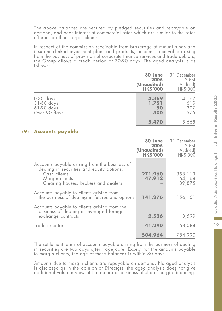The above balances are secured by pledged securities and repayable on demand, and bear interest at commercial rates which are similar to the rates offered to other margin clients.

In respect of the commission receivable from brokerage of mutual funds and insurance-linked investment plans and products, accounts receivable arising from the business of provision of corporate finance services and trade debtors, the Group allows a credit period of 30-90 days. The aged analysis is as follows:

|                                                       | 30 June<br>2005<br>(Unaudited)<br><b>HKS'000</b> | 31 December<br>2004<br>(Audited)<br>HK\$'000 |
|-------------------------------------------------------|--------------------------------------------------|----------------------------------------------|
| 0-30 days<br>31-60 days<br>61-90 days<br>Over 90 days | 3,369<br>1,751<br>50<br>300                      | 4,167<br>619<br>307<br>575                   |
|                                                       | 5,470                                            | 5,668                                        |

# **(9) Accounts payable**

|                                                                                                                                                                      | 30 June<br>2005<br>(Unaudited)<br><b>HK\$'000</b> | 31 December<br>2004<br>(Audited)<br><b>HK\$'000</b> |
|----------------------------------------------------------------------------------------------------------------------------------------------------------------------|---------------------------------------------------|-----------------------------------------------------|
| Accounts payable arising from the business of<br>dealing in securities and equity options:<br>Cash clients<br>Margin clients<br>Clearing houses, brokers and dealers | 271,960<br>47,912                                 | 353, 113<br>64,168<br>39,875                        |
| Accounts payable to clients arising from<br>the business of dealing in futures and options                                                                           | 141,276                                           | 156,151                                             |
| Accounts payable to clients arising from the<br>business of dealing in leveraged foreign<br>exchange contracts                                                       | 2,526                                             | 3,599                                               |
| Trade creditors                                                                                                                                                      | 41,290                                            | 168,084                                             |
|                                                                                                                                                                      | 504,964                                           | 784,990                                             |

The settlement terms of accounts payable arising from the business of dealing in securities are two days after trade date. Except for the amounts payable to margin clients, the age of these balances is within 30 days.

Amounts due to margin clients are repayable on demand. No aged analysis is disclosed as in the opinion of Directors, the aged analysis does not give additional value in view of the nature of business of share margin financing.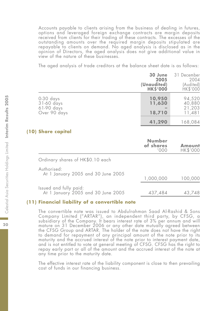Accounts payable to clients arising from the business of dealing in futures, options and leveraged foreign exchange contracts are margin deposits received from clients for their trading of these contracts. The excesses of the outstanding amounts over the required margin deposits stipulated are repayable to clients on demand. No aged analysis is disclosed as in the opinion of Directors, the aged analysis does not give additional value in view of the nature of these businesses.

The aged analysis of trade creditors at the balance sheet date is as follows:

|                                                         | 30 June<br>2005<br>(Unaudited)<br><b>HK\$'000</b> | 31 December<br>2004<br>(Audited)<br>HK\$'000 |
|---------------------------------------------------------|---------------------------------------------------|----------------------------------------------|
| $0-30$ days<br>31-60 days<br>61-90 days<br>Over 90 days | 10,950<br>11,630<br>18,710                        | 94,520<br>40,880<br>21,203<br>11,481         |
|                                                         | 41,290                                            | 168,084                                      |

### **(10) Share capital**

|                                                              | Number<br>of shares<br>rnon | Amount<br><b>HK\$'000</b> |
|--------------------------------------------------------------|-----------------------------|---------------------------|
| Ordinary shares of HK\$0.10 each                             |                             |                           |
| Authorised:<br>At 1 January 2005 and 30 June 2005            | 1,000,000                   | 100,000                   |
| Issued and fully paid:<br>At 1 January 2005 and 30 June 2005 | 437,484                     | 43.748                    |

# **(11) Financial liability of a convertible note**

The convertible note was issued to Abdulrahman Saad Al-Rashid & Sons Company Limited ("ARTAR"), an independent third party, by CFSG, a subsidiary of the Company. It bears interest rate of 3% per annum and will mature on 31 December 2006 or any other date mutually agreed between the CFSG Group and ARTAR. The holder of the note does not have the right to demand for repayment of any principal amount of the note prior to its maturity and the accrued interest of the note prior to interest payment date, and is not entitled to vote at general meeting of CFSG. CFSG has the right to repay early part or all of the amount and the accrued interest of the note at any time prior to the maturity date.

The effective interest rate of the liability component is close to then prevailing cost of funds in our financing business.

20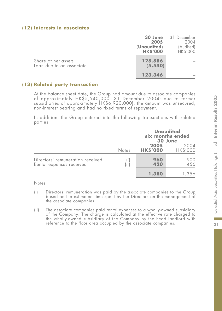### **(12) Interests in associates**

|                                                 | 30 June<br>2005<br>(Unaudited)<br><b>HKS'000</b> | 31 December<br>2004<br>(Audited)<br><b>HK\$'000</b> |
|-------------------------------------------------|--------------------------------------------------|-----------------------------------------------------|
| Share of net assets<br>Loan due to an associate | 128,886<br>(5, 540)                              |                                                     |
|                                                 | 123,346                                          |                                                     |

# **(13) Related party transaction**

At the balance sheet date, the Group had amount due to associate companies of approximately HK\$5,540,000 (31 December 2004: due to former subsidiaries of approximately HK\$6,920,000), the amount was unsecured, non-interest bearing and had no fixed terms of repayment.

In addition, the Group entered into the following transactions with related parties:

|                                                              | <b>Notes</b> |                         | <b>Unaudited</b><br>six months ended<br>30 June |
|--------------------------------------------------------------|--------------|-------------------------|-------------------------------------------------|
|                                                              |              | 2005<br><b>HK\$'000</b> | 2004<br>HK\$'000                                |
| Directors' remuneration received<br>Rental expenses received | Ϊiί          | 960<br>420              | 900<br>456                                      |
|                                                              |              | 1,380                   | 1.356                                           |

Notes:

- (i) Directors' remuneration was paid by the associate companies to the Group based on the estimated time spent by the Directors on the management of the associate companies.
- (ii) The associate companies paid rental expenses to a wholly-owned subsidiary of the Company. The charge is calculated at the effective rate charged to the wholly-owned subsidiary of the Company by the head landlord with reference to the floor area occupied by the associate companies.

÷  $21$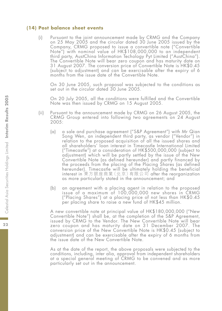#### **(14) Post balance sheet events**

(i) Pursuant to the joint announcement made by CRMG and the Company on 25 May 2005 and the circular dated 30 June 2005 issued by the Company, CRMG proposed to issue a convertible note ("Convertible Note") with nominal value of HK\$108,000,000 to an independent third party, AustChina Information Techology Pyt Limited ("AustChina"). The Convertible Note will bear zero coupon and has maturity date on 31 August 2007. The conversion price of Convertible Note is HK\$0.45 (subject to adjustment) and can be exercisable after the expiry of 6 months from the issue date of the Convertible Note.

On 30 June 2005, such proposal was subjected to the conditions as set out in the circular dated 30 June 2005.

On 20 July 2005, all the conditions were fulfilled and the Convertible Note was then issued by CRMG on 15 August 2005.

- (ii) Pursuant to the announcement made by CRMG on 26 August 2005, the CRMG Group entered into following two agreements on 24 August 2005:
	- (a) a sale and purchase agreement ("S&P Agreement") with Mr Qian Song Wen, an independent third party, as vendor ("Vendor") in relation to the proposed acquisition of all the issued shares and all shareholders' loan interest in Timecastle International Limited ("Timecastle") at a consideration of HK\$500,000,000 (subject to adjustment) which will be partly settled by the issue of the New Convertible Note (as defined hereunder) and partly financed by the proceeds from the placing of the Placing Shares (as defined hereunder). Timecastle will be ultimately holding the beneficial interest in 東方銀座商業(北京)有限公司 after the reorganization as more particularly stated in the announcement; and
	- (b) an agreement with a placing agent in relation to the proposed issue of a maximum of 100,000,000 new shares in CRMG ("Placing Shares") at a placing price of not less than HK\$0.45 per placing share to raise a new fund of HK\$45 million.

A new convertible note at principal value of HK\$180,000,000 ("New Convertible Note") shall be, at the completion of the S&P Agreement, issued by CRMG to the Vendor. The New Convertible Note will bear zero coupon and has maturity date on 31 December 2007. The conversion price of the New Convertible Note is HK\$0.45 (subject to adjustment) and can be exercisable after the expiry of 6 months from the issue date of the New Convertible Note.

As at the date of the report, the above proposals were subjected to the conditions, including, inter alia, approval from independent shareholders at a special general meeting of CRMG to be convened and as more particularly set out in the announcement.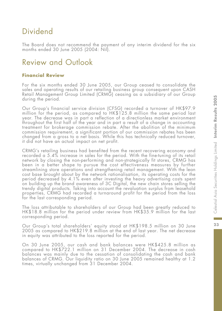# Dividend

The Board does not recommend the payment of any interim dividend for the six months ended 30 June 2005 (2004: Nil).

# Review and Outlook

# **Financial Review**

For the six months ended 30 June 2005, our Group ceased to consolidate the sales and operating results of our retailing business group consequent upon CASH Retail Management Group Limited (CRMG) ceasing as a subsidiary of our Group during the period.

Our Group's financial service division (CFSG) recorded a turnover of HK\$97.9 million for the period, as compared to HK\$125.8 million the same period last year. The decrease was in part a reflection of a directionless market environment throughout the first half of the year and in part a result of a change in accounting treatment for brokerage commission rebate. After the abolition of the minimum commission requirement, a significant portion of our commission rebates has been changed from a gross to a net basis. While this has technically reduced turnover, it did not have an actual impact on net profit.

CRMG's retailing business had benefited from the recent recovering economy and recorded a 5.4% increase in sales for the period. With the fine-tuning of its retail network by closing the non-performing and non-strategically fit stores, CRMG has been in a better shape to pursue the cost effectiveness measures by further streamlining store operations and strengthening retail management. With the lean cost base brought about by the network rationalisation, its operating costs for the period decreased by 4.1% even after investing the heavy advertising costs spent on building up the brand awareness of 3C Digital, the new chain stores selling the trendy digital products. Taking into account the revaluation surplus from leasehold properties, CRMG had recorded a turnaround profit for the period from the loss for the last corresponding period.

The loss attributable to shareholders of our Group had been greatly reduced to HK\$18.8 million for the period under review from HK\$35.9 million for the last corresponding period.

Our Group's total shareholders' equity stood at HK\$198.5 million on 30 June 2005 as compared to HK\$219.8 million at the end of last year. The net decrease in equity was attributed to the loss reported for the period.

On 30 June 2005, our cash and bank balances were HK\$425.8 million as compared to HK\$722.1 million on 31 December 2004. The decrease in cash balances was mainly due to the cessation of consolidating the cash and bank balances of CRMG. Our liquidity ratio on 30 June 2005 remained healthy at 1.2 times, virtually unchanged from 31 December 2004.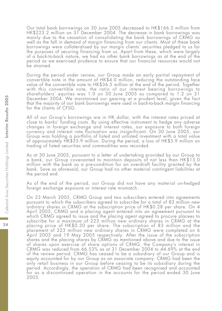Our total bank borrowings on 30 June 2005 decreased to HK\$166.5 million from HK\$223.2 million on 31 December 2004. The decrease in bank borrowings was mainly due to the cessation of consolidating the bank borrowings of CRMG as well as the fall in demand of margin financing from our clients. Most of these bank borrowings were collateralised by our margin clients' securities pledged to us for the purposes of securing financing from us. Apart from these, which were largely of a back-to-back nature, we had no other bank borrowings as at the end of the period as we exercised prudence to ensure that our financial resources would not be strained.

During the period under review, our Group made an early partial repayment of convertible note in the amount of HK\$4.0 million, reducing the outstanding face value of the convertible note to HK\$36.5 million at the end of the period. Together with this convertible note, the ratio of our interest bearing borrowings to shareholders' equities was 1.0 on 30 June 2005 as compared to 1.2 on 31 December 2004. We maintained our gearing at a prudent level, given the fact that the majority of our bank borrowings were used in back-to-back margin financing for the clients of CFSG.

All of our Group's borrowings are in HK dollar, with the interest rates priced at close to banks' funding costs. By using effective instrument to hedge any adverse changes in foreign exchange and interest rates, our exposure to both foreign currency and interest rate fluctuation was insignificant. On 30 June 2005, our Group was holding a portfolio of listed and unlisted investment with a total value of approximately HK\$35.9 million. During the period, a loss of HK\$5.9 million on trading of listed securities and commodities was recorded.

As at 30 June 2005, pursuant to a letter of undertaking provided by our Group to a bank, our Group covenanted to maintain deposits of not less than HK\$15.0 million with the bank as a pre-condition for an overdraft facility granted by the bank. Save as aforesaid, our Group had no other material contingent liabilities at the period end.

As of the end of the period, our Group did not have any material un-hedged foreign exchange exposure or interest rate mismatch.

On 23 March 2005, CRMG Group and two subscribers entered into agreements pursuant to which the subscribers agreed to subscribe for a total of 83 million new ordinary shares in CRMG at the subscription price of HK\$0.28 per share. On 4 April 2005, CRMG and a placing agent entered into an agreement pursuant to which CRMG agreed to issue and the placing agent agreed to procure placees to subscribe for a maximum of 223 million new ordinary shares in CRMG at the placing price of HK\$0.30 per share. The subscription of 83 million and the placement of 223 million new ordinary shares in CRMG were completed on 6 April 2005 and 19 May 2005 respectively. After the issue of the subscription shares and the placing shares by CRMG as mentioned above and due to the issue of shares upon exercise of share options of CRMG, the Company's interest in CRMG was reduced from 66.53% as at 31 December 2004 to 44.69% at the end of the review period. CRMG has ceased to be a subsidiary of our Group and is equity accounted for by our Group as an associate company. CRMG had been the only retail business in our Group before ceasing to be its subsidiary during the period. Accordingly, the operation of CRMG had been recognised and accounted for as a discontinued operation in the accounts for the period ended 30 June 2005.

24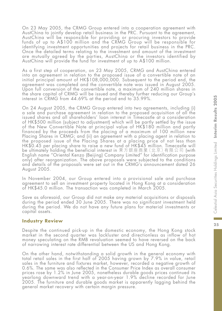On 23 May 2005, the CRMG Group entered into a cooperation agreement with AustChina to jointly develop retail business in the PRC. Pursuant to the agreement, AustChina will be responsible for providing or procuring investors to provide funds of up to A\$100 million and the CRMG Group will be responsible for identifying investment opportunities and projects for retail business in the PRC. Once the detailed terms relating to the investment and amount of the investment are mutually agreed by the parties, AustChina or the investors identified by AustChina will provide the fund for investment of up to A\$100 million.

As a first step of cooperation, on 23 May 2005, CRMG and AustChina entered into an agreement in relation to the proposed issue of a convertible note of an initial principal amount of HK\$108,000,000. Subsequent to the period end, the agreement was completed and the convertible note was issued in August 2005. Upon full conversion of the convertible note, a maximum of 240 million shares in the share capital of CRMG will be issued and thereby further reducing our Group's interest in CRMG from 44.69% at the period end to 35.99%.

On 24 August 2005, the CRMG Group entered into two agreements, including (i) a sale and purchase agreement in relation to the proposed acquisition of all the issued shares and all shareholders' loan interest in Timecastle at a consideration of HK\$500 million (subject to adjustment) which will be partly settled by the issue of the New Convertible Note at principal value of HK\$180 million and partly financed by the proceeds from the placing of a maximum of 100 million new Placing Shares in CRMG; and (ii) an agreement with a placing agent in relation to the proposed issue of the Placing Shares at a placing price of not less than HK\$0.45 per placing share to raise a new fund of HK\$45 million. Timecastle will be ultimately holding the beneficial interest in 東方銀座商業(北京)有限公司 (with English name "Oriental Kenzo (Beijing) Company Limited" for identification purpose only) after reorganization. The above proposals were subjected to the conditions and details of the proposals were set out in the CRMG's announcement dated 26 August 2005.

In November 2004, our Group entered into a provisional sale and purchase agreement to sell an investment property located in Hong Kong at a consideration of HK\$45.0 million. The transaction was completed in March 2005.

Save as aforesaid, our Group did not make any material acquisitions or disposals during the period ended 30 June 2005. There was no significant investment held during the period. We do not have any future plans for material investments or capital assets.

### **Industry Review**

Despite the continued pick-up in the domestic economy, the Hong Kong stock market in the second quarter was lackluster and directionless as inflow of hot money speculating on the RMB revaluation seemed to have reversed on the back of narrowing interest rate differential between the US and Hong Kong.

On the other hand, notwithstanding a solid growth in the general economy with total retail sales in the first half of 2005 having grown by 7.9% in value, retail sales in the furniture and fixtures market, however, recorded a negative growth of 0.6%. The same was also reflected in the Consumer Price Index as overall consumer prices rose by 1.2% in June 2005, nonetheless durable goods prices continued its yearlong downward trend with a year-on-year 1.9% decline recorded for June 2005. The furniture and durable goods market is apparently lagging behind the general market recovery with certain margin pressure.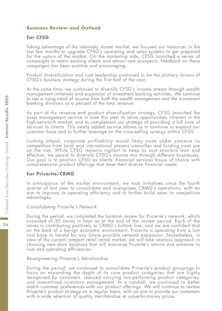### **Business Review and Outlook**

### **For CFSG**

Taking advantage of the relatively slower market, we focused our resources in the last few months to upgrade CFSG's operating and sales systems to get prepared for the upturn of the market. On the marketing side, CFSG launched a series of campaigns to retain existing clients and attract new prospects. Feedback on these campaigns has been positive and encouraging.

Product diversification and cost leadership continued to be the primary drivers of CFSG's business strategy during the first half of the year.

At the same time, we continued to diversify CFSG's income stream through wealth management initiatives and expansion of investment banking activities. We continue to see a rising trend of income from both the wealth management and the investment banking divisions as a percent of the total revenue.

As part of the revenue and product diversification strategy, CFSG launched the asset management service in June this year to seize opportunities inherent in the high-net-worth market, and to complement our strategy of providing a full suite of services to clients. This newly added service allows us to continue to expand our customer base and to further leverage on the cross-selling synergy within CFSG.

Looking ahead, corporate profitability would likely come under pressure as competition from local and international players intensifies and funding costs are on the rise. While CFSG remains vigilant to keep its cost structure lean and effective, we persist to diversify CFSG's income mix through different businesses. Our goal is to position CFSG as clients' financial services house of choice with comprehensive product offerings that meet their diverse financial needs.

### **For Pricerite/CRMG**

In anticipation of the market environment, we took initiatives since the fourth quarter of last year to consolidate and re-engineer CRMG's operations, with an aim to improve its operating efficiency and to further build upon its competitive advantages.

#### Consolidating Pricerite's Network

During the period, we completed the location review for Pricerite's network, which consisted of 30 stores in total as at the end of the review period. Each of the stores is contributing positively to CRMG's bottom line, and we are confident that on the back of a benign economic environment, Pricerite is operating from a low cost base to herald for any future possible network expansion. Nonetheless, in view of the current rampant retail rental market, we will take cautious approach in choosing new store locations that will maximise Pricerite's returns and enhance its cost and operating efficiencies.

#### Re-engineering Pricerite's Merchandise

During the period, we continued to consolidate Pricerite's product groupings to focus on expanding the depth of its core product categories that are highly recognised by customers, reduced carrying non-performing product categories, and streamlined inventory management. In a nutshell, we continued to better match customer preferences with our product offerings. We will continue to review Pricerite's product strategy on a regular basis, with an aim to provide our customers with a wide selection of quality merchandise at value-for-money prices.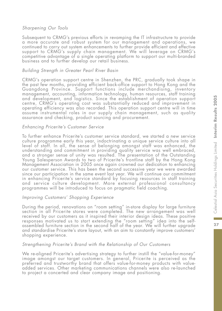### Sharpening Our Tools

Subsequent to CRMG's previous efforts in revamping the IT infrastructure to provide a more accurate and robust system for our management and operations, we continued to carry out system enhancements to further provide efficient and effective support to CRMG's supply chain management. We will leverage on CRMG's competitive advantage of a single operating platform to support our multi-branded business and to further develop our retail business.

### Building Strength in Greater Pearl River Basin

CRMG's operation support centre in Shenzhen, the PRC, gradually took shape in the past few months, providing efficient back-office support to Hong Kong and the Guangdong Province. Support functions include merchandising, inventory management, accounting, information technology, human resources, staff training and development, and logistics. Since the establishment of operation support centre, CRMG's operating cost was substantially reduced and improvement in operating efficiency was also recorded. This operation support centre will in time assume instrumental roles in our supply chain management, such as quality assurance and checking, product sourcing and procurement.

#### Enhancing Pricerite's Customer Service

To further enhance Pricerite's customer service standard, we started a new service culture programme early this year, indoctrinating a unique service culture into all level of staff. In all, the sense of belonging amongst staff was enhanced, the understanding and commitment in providing quality service was well embraced, and a stronger sense of unity was resulted. The presentation of the Outstanding Young Salesperson Awards to two of Pricerite's frontline staff by the Hong Kong Management Association in 2005 once again crowned our dedication to enhancing our customer service. This has been the second successive year we were awarded since our participation in the same event last year. We will continue our commitment in enhancing Pricerite's service standard by focusing resources in staff training and service culture development. More external professional consultancy programmes will be introduced to focus on pragmatic field coaching.

### Improving Customers' Shopping Experience

During the period, renovations on "room setting" in-store display for large furniture section in all Pricerite stores were completed. The new arrangement was well received by our customers as it inspired their interior design ideas. These positive responses motivated us to start extending the "room setting" idea into the selfassembled furniture section in the second half of the year. We will further upgrade and standardise Pricerite's store layout, with an aim to constantly improve customers' shopping experience.

### Strengthening Pricerite's Brand with the Relationship of Our Customers

We re-aligned Pricerite's advertising strategy to further instill the "value-for-money" image amongst our target customers. In general, Pricerite is perceived as the preferred and trustworthy brand that offers value-for-money products with valueadded services. Other marketing communications channels were also re-launched to project a concerted and clear company image and positioning.

27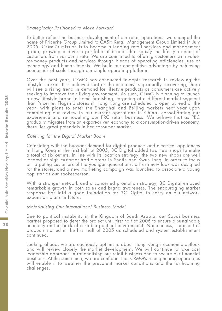#### Strategically Positioned to Move Forward

To better reflect the business development of our retail operations, we changed the name of Pricerite Group Limited to CASH Retail Management Group Limited in July 2005. CRMG's mission is to become a leading retail services and management group, growing a diverse portfolio of brands that satisfy the lifestyle needs of customers from various strata. We are committed to offering customers with valuefor-money products and services through blends of operating efficiencies, use of technology and human talents. We build our competitive advantage by achieving economies of scale through our single operating platform.

Over the past year, CRMG has conducted in-depth research in reviewing the lifestyle market. It is believed that as the economy is gradually recovering, there will see a rising trend in demand for lifestyle products as consumers are actively seeking to improve their living environment. As such, CRMG is planning to launch a new lifestyle brand in home furnishing, targeting at a different market segment than Pricerite. Flagship stores in Hong Kong are scheduled to open by end of the year, with plans to enter the Shanghai and Beijing markets next year upon completing our review in our current operations in China, consolidating our experience and re-modelling our PRC retail business. We believe that as PRC gradually migrates from an export-driven economy to a consumption-driven economy, there lies great potentials in her consumer market.

### Catering for the Digital Market Boom

Coinciding with the buoyant demand for digital products and electrical appliances in Hong Kong in the first half of 2005, 3C Digital added two new shops to make a total of six outlets. In line with its location strategy, the two new shops are well located at high customer traffic areas in Shatin and Kwun Tong. In order to focus on targeting customers of the younger generations, a fresh new look was designed for the stores, and a new marketing campaign was launched to associate a young pop star as our spokesperson.

With a stronger network and a concerted promotion strategy, 3C Digital enjoyed remarkable growth in both sales and brand awareness. The encouraging market response has laid a good foundation for 3C Digital to carry on our network expansion plans in future.

#### Materialising Our International Business Model

Due to political instability in the Kingdom of Saudi Arabia, our Saudi business partner proposed to defer the project until first half of 2006 to ensure a sustainable economy on the back of a stable political environment. Nonetheless, shipment of products started in the first half of 2005 as scheduled and system establishment continued.

Looking ahead, we are cautiously optimistic about Hong Kong's economic outlook and will review closely the market development. We will continue to take cost leadership approach in rationalising our retail business and to secure our financial positions. At the same time, we are confident that CRMG's re-engineered operations will enable it to weather the prevalent market conditions and the forthcoming challenges.

28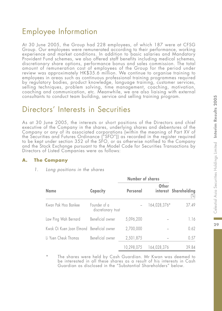# Employee Information

At 30 June 2005, the Group had 228 employees, of which 187 were at CFSG Group. Our employees were remunerated according to their performance, working experience and market conditions. In addition to basic salaries and Mandatory Provident Fund schemes, we also offered staff benefits including medical schemes, discretionary share options, performance bonus and sales commission. The total amount of remuneration cost of employees of the Group for the period under review was approximately HK\$35.6 million. We continue to organise training to employees in areas such as continuous professional training programmes required by regulatory bodies, product knowledge, language training, customer services, selling techniques, problem solving, time management, coaching, motivation, coaching and communication, etc. Meanwhile, we are also liaising with external consultants to conduct team building, service and selling training program.

# Directors' Interests in Securities

As at 30 June 2005, the interests or short positions of the Directors and chief executive of the Company in the shares, underlying shares and debentures of the Company or any of its associated corporations (within the meaning of Part XV of the Securities and Futures Ordinance ("SFO")) as recorded in the register required to be kept under section 352 of the SFO, or  $\ddot{a}$ s otherwise notified to the Company and the Stock Exchange pursuant to the Model Code for Securities Transactions by Directors of Listed Companies were as follows:

# **A. The Company**

|                                           |                                     | Number of shares |              |                                 |
|-------------------------------------------|-------------------------------------|------------------|--------------|---------------------------------|
| <b>Name</b>                               | Capacity                            | Personal         | Other        | interest Shareholding<br>$[\%]$ |
| Kwan Pak Hoo Bankee                       | Founder of a<br>discretionary trust |                  | 164,028,376* | 37.49                           |
| Law Ping Wah Bernard                      | Beneficial owner                    | 5,096,200        |              | 1.16                            |
| Kwok Oi Kuen Joan Elmond Beneficial owner |                                     | 2,700,000        |              | 0.62                            |
| Li Yuen Cheuk Thomas                      | Beneficial owner                    | 2,501,875        |              | 0.57                            |
|                                           |                                     | 10.298.075       | 64.028.376   | 39.84                           |

1. Long positions in the shares

The shares were held by Cash Guardian. Mr Kwan was deemed to be interested in all these shares as a result of his interests in Cash Guardian as disclosed in the "Substantial Shareholders" below.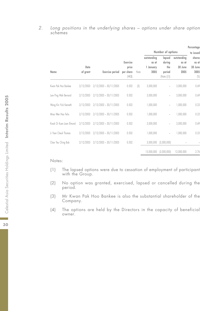#### 2. Long positions in the underlying shares – options under share option schemes

|                          |                  |                          |                              |      |                      |                             |                      | Percentage                        |
|--------------------------|------------------|--------------------------|------------------------------|------|----------------------|-----------------------------|----------------------|-----------------------------------|
|                          |                  |                          |                              |      |                      | Number of options           |                      | to issued                         |
|                          |                  |                          | Exercise                     |      | outstanding<br>as at | lapsed<br>during            | outstanding<br>as at | shares<br>as at                   |
| Name                     | Date<br>of grant | <b>Exercise</b> period   | price<br>per share<br>(HK\$) | Note | 1 January<br>2005    | the<br>period<br>[Note [1]] | 30 June<br>2005      | 30 June<br>2005<br>$\binom{0}{0}$ |
| Kwan Pak Hoo Bankee      | 2/12/2003        | $2/12/2003 - 30/11/2005$ | 0.502                        | 3    | 3,000,000            |                             | 3,000,000            | 0.69                              |
| Law Ping Wah Bernard     | 2/12/2003        | $2/12/2003 - 30/11/2005$ | 0.502                        |      | 3,000,000            | $\overline{a}$              | 3,000,000            | 0.69                              |
| Wong Kin Yick Kenneth    | 2/12/2003        | $2/12/2003 - 30/11/2005$ | 0.502                        |      | 1,000,000            | $\overline{\phantom{a}}$    | 1,000,000            | 0.23                              |
| Migo Wen Hgo Felix       | 2/12/2003        | $2/12/2003 - 30/11/2005$ | 0.502                        |      | 1,000,000            | $\overline{\phantom{m}}$    | 1,000,000            | 0.23                              |
| Kwok Oi Kuen Joan Elmond | 2/12/2003        | $2/12/2003 - 30/11/2005$ | 0.502                        |      | 3,000,000            | $\overline{a}$              | 3,000,000            | 0.69                              |
| Li Yuen Cheuk Thomas     | 2/12/2003        | $2/12/2003 - 30/11/2005$ | 0.502                        |      | 1,000,000            |                             | 1,000,000            | 0.23                              |
| Chan Yau Ching Bob       | 2/12/2003        | $2/12/2003 - 30/11/2005$ | 0.502                        |      | 3,000,000            | (3,000,000)                 |                      |                                   |
|                          |                  |                          |                              |      | 15.000.000           | (3.000.000)                 | 12,000,000           | 2.76                              |

- (1) The lapsed options were due to cessation of employment of participant with the Group.
- (2) No option was granted, exercised, lapsed or cancelled during the period.
- (3) Mr Kwan Pak Hoo Bankee is also the substantial shareholder of the Company.
- (4) The options are held by the Directors in the capacity of beneficial owner.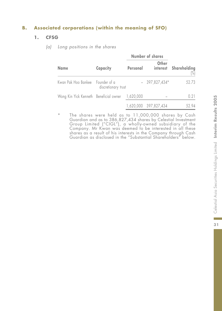# **B. Associated corporations (within the meaning of SFO)**

# **1. CFSG**

(a) Long positions in the shares

| <b>Name</b>                                      | Capacity<br>Personal |  | Other                 | interest Shareholding<br>$\frac{1}{2}$ |  |
|--------------------------------------------------|----------------------|--|-----------------------|----------------------------------------|--|
| Kwan Pak Hoo Bankee Founder of a                 | discretionary trust  |  | $-397,827,434*$       | 52.73                                  |  |
| Wong Kin Yick Kenneth Beneficial owner 1,620,000 |                      |  |                       | 0.21                                   |  |
|                                                  |                      |  | 1,620,000 397,827,434 | 52.94                                  |  |

\* The shares were held as to 11,000,000 shares by Cash Guardian and as to 386,827,434 shares by Celestial Investment Group Limited ("CIGL"), a wholly-owned subsidiary of the Company. Mr Kwan was deemed to be interested in all these shares as a result of his interests in the Company through Cash Guardian as disclosed in the "Substantial Shareholders" below.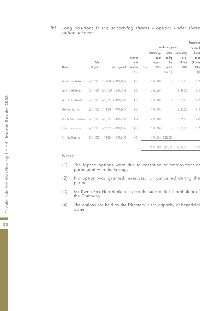#### (b) Long positions in the underlying shares – options under share option schemes

|                          |           |                          |           |                  |             |                          |             | Percentage     |
|--------------------------|-----------|--------------------------|-----------|------------------|-------------|--------------------------|-------------|----------------|
|                          |           |                          |           |                  |             | Number of options        |             | to issued      |
|                          |           |                          |           |                  | outstanding | lapsed                   | outstanding | shares         |
|                          |           |                          | Exercise  |                  | as at       | during                   | as at       | as at          |
|                          | Date      |                          | price     |                  | 1 January   | the                      | 30 June     | 30 June        |
| Name                     | of grant  | <b>Exercise</b> period   | per share | Note             | 2005        | period                   | 2005        | 2005           |
|                          |           |                          | HK\$      |                  |             | (Note ((1))              |             | $\binom{0}{0}$ |
| Kwan Pak Hoo Bankee      | 2/12/2003 | $2/12/2003 - 30/11/2005$ | 0.34      | $\left 3\right $ | 3,185,000   | $\overline{a}$           | 3,185,000   | 0.42           |
| Law Ping Wah Bernard     | 2/12/2003 | $2/12/2003 - 30/11/2005$ | 0.34      |                  | 3,185,000   | $\overline{a}$           | 3,185,000   | 0.42           |
| Wong Kin Yick Kenneth    | 2/12/2003 | $2/12/2003 - 30/11/2005$ | 0.34      |                  | 3,185,000   | $\overline{a}$           | 3,185,000   | 0.42           |
| Migo Wen Hgo Felix       | 2/12/2003 | 2/12/2003 - 30/11/2005   | 0.34      |                  | 3,185,000   | i,                       | 3,185,000   | 0.42           |
| Kwok Oi Kuen Joan Elmond | 2/12/2003 | $2/12/2003 - 30/11/2005$ | 0.34      |                  | 3,185,000   | ÷,                       | 3,185,000   | 0.42           |
| Li Yuen Cheuk Thomas     | 2/12/2003 | $2/12/2003 - 30/11/2005$ | 0.34      |                  | 3,185,000   | $\overline{\phantom{a}}$ | 3,185,000   | 0.42           |
| Chan Yau Ching Bob       | 2/12/2003 | 2/12/2003 - 30/11/2005   | 0.34      |                  | 3,185,000   | (3, 185, 000)            |             |                |
|                          |           |                          |           |                  | 22,295,000  | (3, 185, 000)            | 19,110,000  | 2.52           |

- (1) The lapsed options were due to cessation of employment of participant with the Group.
- (2) No option was granted, exercised or cancelled during the period.
- (3) Mr Kwan Pak Hoo Bankee is also the substantial shareholder of the Company.
- (4) The options are held by the Directors in the capacity of beneficial owner.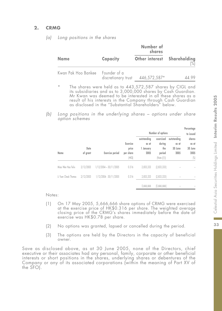# **2. CRMG**

|                                  |                     | Number of<br>shares         |               |  |
|----------------------------------|---------------------|-----------------------------|---------------|--|
| <b>Name</b>                      | Capacity            | Other interest Shareholding | $\frac{1}{2}$ |  |
| Kwan Pak Hoo Bankee Founder of a | discretionary trust | 446,572,587*                | 44.99         |  |

(a) Long positions in the shares

- The shares were held as to 443,572,587 shares by CIGL and its subsidiaries and as to 3,000,000 shares by Cash Guardian. Mr Kwan was deemed to be interested in all these shares as a result of his interests in the Company through Cash Guardian as disclosed in the "Substantial Shareholders" below.
- (b) Long positions in the underlying shares options under share option schemes

|                      |                  |                          |                                          |                                           | Number of options                                   |                                         | Percentage<br>to issued                                                                         |
|----------------------|------------------|--------------------------|------------------------------------------|-------------------------------------------|-----------------------------------------------------|-----------------------------------------|-------------------------------------------------------------------------------------------------|
| Name                 | Date<br>of grant | <b>Exercise</b> period   | Exercise<br>price<br>per share<br>(HK\$) | outstanding<br>as at<br>1 January<br>2005 | exercised<br>during<br>the<br>period<br>(Note ((1)) | outstandina<br>as at<br>30 June<br>2005 | shares<br>as at<br>30 June<br>2005<br>$\left[\begin{smallmatrix} 0\\ 1\end{smallmatrix}\right]$ |
| Migo Wen Hao Felix   | 2/12/2003        | $1/12/2004 - 30/11/2005$ | 0.316                                    | 2.833.333                                 | [2,833,333]                                         | $\overline{a}$                          |                                                                                                 |
| Li Yuen Cheuk Thomas | 2/12/2003        | 1/12/2004 - 30/11/2005   | 0.316                                    | 2.833.333                                 | [2,833,333]                                         | $\overline{\phantom{a}}$                |                                                                                                 |
|                      |                  |                          |                                          | 5.666.666                                 | [5,666,666]                                         |                                         |                                                                                                 |

#### Notes:

- (1) On 17 May 2005, 5,666,666 share options of CRMG were exercised at the exercise price of HK\$0.316 per share. The weighted average closing price of the CRMG's shares immediately before the date of exercise was HK\$0.78 per share.
- (2) No options was granted, lapsed or cancelled during the period.
- (3) The options are held by the Directors in the capacity of beneficial owner.

Save as disclosed above, as at 30 June 2005, none of the Directors, chief executive or their associates had any personal, family, corporate or other beneficial interests or short positions in the shares, underlying shares or debentures of the Company or any of its associated corporations (within the meaning of Part XV of the SFO).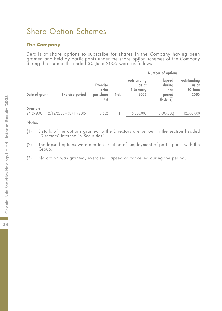# Share Option Schemes

# **The Company**

Details of share options to subscribe for shares in the Company having been granted and held by participants under the share option schemes of the Company during the six months ended 30 June 2005 were as follows:

|                               |                          |                                                 |        | Number of options                         |                                                 |                                         |
|-------------------------------|--------------------------|-------------------------------------------------|--------|-------------------------------------------|-------------------------------------------------|-----------------------------------------|
| Date of grant                 | <b>Exercise period</b>   | <b>Exercise</b><br>price<br>per share<br>(HK\$) | Note   | outstanding<br>as at<br>1 January<br>2005 | lapsed<br>during<br>the<br>period<br>(Note (2)) | outstanding<br>as at<br>30 June<br>2005 |
| <b>Directors</b><br>2/12/2003 | $2/12/2003 - 30/11/2005$ | 0.502                                           | $\Box$ | 15,000,000                                | (3,000,000)                                     | 12.000.000                              |

- (1) Details of the options granted to the Directors are set out in the section headed "Directors' Interests in Securities".
- (2) The lapsed options were due to cessation of employment of participants with the Group.
- (3) No option was granted, exercised, lapsed or cancelled during the period.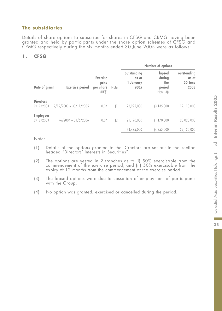# **The subsidiaries**

Details of share options to subscribe for shares in CFSG and CRMG having been granted and held by participants under the share option schemes of CFSG and CRMG respectively during the six months ended 30 June 2005 were as follows:

# **1. CFSG**

|                               |                          |                                                          |                  |                                         | Number of options                               |                                         |
|-------------------------------|--------------------------|----------------------------------------------------------|------------------|-----------------------------------------|-------------------------------------------------|-----------------------------------------|
| Date of grant                 | <b>Exercise period</b>   | <b>Exercise</b><br>price<br>per share<br>Notes<br>(HK\$) |                  | outstanding<br>as at<br>January<br>2005 | lapsed<br>during<br>the<br>period<br>(Note (3)) | outstanding<br>as at<br>30 June<br>2005 |
| <b>Directors</b><br>2/12/2003 | $2/12/2003 - 30/11/2005$ | 0.34                                                     | $\left(1\right]$ | 22.295.000                              | (3, 185, 000)                                   | 19,110,000                              |
| <b>Employees</b><br>2/12/2003 | $1/6/2004 - 31/5/2006$   | 0.34                                                     | (2)              | 21,190,000                              | (1, 170, 000)                                   | 20,020,000                              |
|                               |                          |                                                          |                  | 43,485,000                              | [4, 355, 000]                                   | 39,130,000                              |

- (1) Details of the options granted to the Directors are set out in the section headed "Directors' Interests in Securities".
- (2) The options are vested in 2 tranches as to (i) 50% exercisable from the commencement of the exercise period; and (ii) 50% exercisable from the expiry of 12 months from the commencement of the exercise period.
- (3) The lapsed options were due to cessation of employment of participants with the Group.
- (4) No option was granted, exercised or cancelled during the period.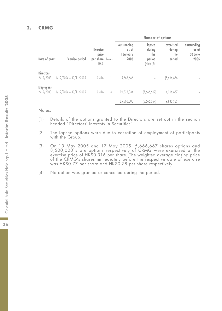### **2. CRMG**

|                               |                          |                                                 |                  |                                           | Number of options                               |                                      |                                         |
|-------------------------------|--------------------------|-------------------------------------------------|------------------|-------------------------------------------|-------------------------------------------------|--------------------------------------|-----------------------------------------|
| Date of grant                 | <b>Exercise</b> period   | <b>Exercise</b><br>price<br>per share<br>(HK\$) | Notes            | outstanding<br>as at<br>1 January<br>2005 | lapsed<br>during<br>the<br>period<br>(Note (2)) | exercised<br>during<br>the<br>period | outstanding<br>as at<br>30 June<br>2005 |
| <b>Directors</b><br>2/12/2003 | $1/12/2004 - 30/11/2005$ | 0.316                                           | $\left(1\right)$ | 5,666,666                                 |                                                 | [5,666,666]                          |                                         |
| <b>Employees</b><br>2/12/2003 | $1/12/2004 - 30/11/2005$ | 0.316                                           | 3                | 19,833,334                                | [5,666,667]                                     | (14, 166, 667)                       |                                         |
|                               |                          |                                                 |                  | 25,500,000                                | (5,666,667)                                     | (19, 833, 333)                       |                                         |

- (1) Details of the options granted to the Directors are set out in the section headed "Directors' Interests in Securities".
- (2) The lapsed options were due to cessation of employment of participants with the Group.
- (3) On 13 May 2005 and 17 May 2005, 5,666,667 shares options and 8,500,000 share options respectively of CRMG were exercised at the exercise price of HK\$0.316 per share. The weighted average closing price of the CRMG's shares immediately before the respective date of exercise was HK\$0.77 per share and HK\$0.78 per share respectively.
- (4) No option was granted or cancelled during the period.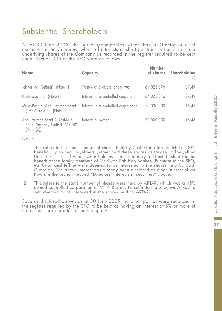# Substantial Shareholders

As at 30 June 2005, the persons/companies, other than a Director or chief executive of the Company, who had interests or short positions in the shares and underlying shares of the Company as recorded in the register required to be kept under Section 336 of the SFO were as follows:

| <b>Name</b>                                                                  | Capacity                             | <b>Number</b><br>of shares | Shareholding<br>$\left[\%\right]$ |
|------------------------------------------------------------------------------|--------------------------------------|----------------------------|-----------------------------------|
| Jeffnet Inc ("Jeffnet") (Note (1))                                           | Trustee of a discretionary trust     | 164,028,376                | 37.49                             |
| Cash Guardian (Note (1))                                                     | Interest in a controlled corporation | 164,028,376                | 37.49                             |
| Mr Al-Rashid, Abdulrahman Saad<br>("Mr Al-Rashid") (Note (2))                | Interest in a controlled corporation | 72,000,000                 | 16.46                             |
| Abdulrahman Saad Al-Rashid &<br>Sons Company Limited ("ARTAR")<br>(Note (2)) | Beneficial owner                     | 72,000,000                 | 16.46                             |

Notes:

- (1) This refers to the same number of shares held by Cash Guardian (which is 100% beneficially owned by Jeffnet). Jeffnet held these shares as trustee of The Jeffnet Unit Trust, units of which were held by a discretionary trust established for the benefit of the family members of Mr Kwan Pak Hoo Bankee. Pursuant to the SFO, Mr Kwan and Jeffnet were deemed to be interested in the shares held by Cash Guardian. The above interest has already been disclosed as other interest of Mr Kwan in the section headed "Directors' interests in securities" above.
- (2) This refers to the same number of shares were held by ARTAR, which was a 45% owned controlled corporation of Mr Al-Rashid. Pursuant to the SFO, Mr Al-Rashid was deemed to be interested in the shares held by ARTAR.

Save as disclosed above, as at 30 June 2005, no other parties were recorded in the register required by the SFO to be kept as having an interest of 5% or more of the issued share capital of the Company.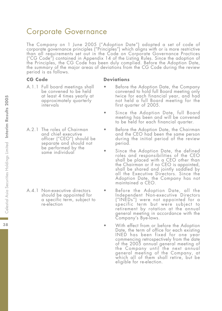# Corporate Governance

The Company on 1 June 2005 ("Adoption Date") adopted a set of code of corporate governance principles ("Principles") which aligns with or is more restrictive than all requirements set out in the Code on Corporate Governance Practices ("CG Code") contained in Appendix 14 of the Listing Rules. Since the adoption of the Principles, the CG Code has been duly complied. Before the Adoption Date, the summary of the major areas of deviations from the CG Code during the review period is as follows.

### **CG Code Deviations**

- A.1.1 Full board meetings shall be convened to be held at least 4 times yearly at approximately quarterly intervals
- A.2.1 The roles of Chairman and chief executive officer ("CEO") should be separate and should not be performed by the same individual

A.4.1 Non-executive directors should be appointed for a specific term, subject to re-election

- Before the Adoption Date, the Company convened to hold full Board meeting only twice for each financial year, and had not held a full Board meeting for the first quarter of 2005.
- Since the Adoption Date, full Board meeting has been and will be convened to be held for each financial quarter.
- Before the Adoption Date, the Chairman and the CEO had been the same person during the initial period of the review period.
- Since the Adoption Date, the defined roles and responsibilities of the CEO shall be placed with a CEO other than the Chairman or if no CEO is appointed, shall be shared and jointly saddled by all the Executive Directors. Since the Adoption Date, the Company has not maintained a CEO.
- Before the Adoption Date, all the Independent Non-executive Directors ("INEDs") were not appointed for a specific term but were subject to retirement by rotation at the annual general meeting in accordance with the Company's Bye-laws.
- With effect from or before the Adoption Date, the term of office for each existing INED has been fixed for one year commencing retrospectively from the date of the 2005 annual general meeting of the Company until the next annual general meeting of the Company, at which all of them shall retire, but be eligible for re-election.

38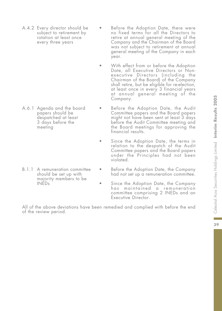A.4.2 Every director should be subject to retirement by rotation at least once every three years

A.6.1 Agenda and the board papers should be despatched at least 3 days before the meeting

B.1.1 A remuneration committee should be set up with majority members to be INEDs

- Before the Adoption Date, there were no fixed terms for all the Directors to retire at annual general meeting of the Company and the Chairman of the Board was not subject to retirement at annual general meeting of the Company in each year.
- With effect from or before the Adoption Date, all Executive Directors or Nonexecutive Directors (including the Chairman of the Board) of the Company shall retire, but be eligible for re-election, at least once in every 3 financial years at annual general meeting of the Company.
	- Before the Adoption Date, the Audit Committee papers and the Board papers might not have been sent at least 3 days before the Audit Committee meeting and the Board meetings for approving the financial results.
- Since the Adoption Date, the terms in relation to the despatch of the Audit Committee papers and the Board papers under the Principles had not been violated.
	- Before the Adoption Date, the Company had not set up a remuneration committee.
- Since the Adoption Date, the Company has maintained a remuneration committee comprising 2 INEDs and an Executive Director.

All of the above deviations have been remedied and complied with before the end of the review period.